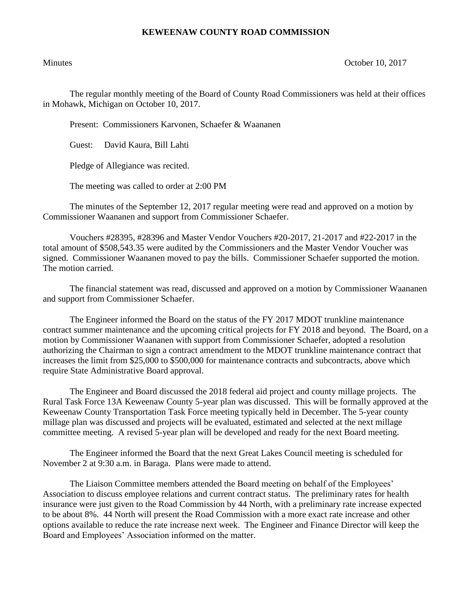## **KEWEENAW COUNTY ROAD COMMISSION**

Minutes Contract Contract Contract Contract Contract Contract Contract Contract Contract Contract Contract Contract Contract Contract Contract Contract Contract Contract Contract Contract Contract Contract Contract Contrac

The regular monthly meeting of the Board of County Road Commissioners was held at their offices in Mohawk, Michigan on October 10, 2017.

Present: Commissioners Karvonen, Schaefer & Waananen

Guest: David Kaura, Bill Lahti

Pledge of Allegiance was recited.

The meeting was called to order at 2:00 PM

The minutes of the September 12, 2017 regular meeting were read and approved on a motion by Commissioner Waananen and support from Commissioner Schaefer.

Vouchers #28395, #28396 and Master Vendor Vouchers #20-2017, 21-2017 and #22-2017 in the total amount of \$508,543.35 were audited by the Commissioners and the Master Vendor Voucher was signed. Commissioner Waananen moved to pay the bills. Commissioner Schaefer supported the motion. The motion carried.

The financial statement was read, discussed and approved on a motion by Commissioner Waananen and support from Commissioner Schaefer.

The Engineer informed the Board on the status of the FY 2017 MDOT trunkline maintenance contract summer maintenance and the upcoming critical projects for FY 2018 and beyond. The Board, on a motion by Commissioner Waananen with support from Commissioner Schaefer, adopted a resolution authorizing the Chairman to sign a contract amendment to the MDOT trunkline maintenance contract that increases the limit from \$25,000 to \$500,000 for maintenance contracts and subcontracts, above which require State Administrative Board approval.

The Engineer and Board discussed the 2018 federal aid project and county millage projects. The Rural Task Force 13A Keweenaw County 5-year plan was discussed. This will be formally approved at the Keweenaw County Transportation Task Force meeting typically held in December. The 5-year county millage plan was discussed and projects will be evaluated, estimated and selected at the next millage committee meeting. A revised 5-year plan will be developed and ready for the next Board meeting.

The Engineer informed the Board that the next Great Lakes Council meeting is scheduled for November 2 at 9:30 a.m. in Baraga. Plans were made to attend.

The Liaison Committee members attended the Board meeting on behalf of the Employees' Association to discuss employee relations and current contract status. The preliminary rates for health insurance were just given to the Road Commission by 44 North, with a preliminary rate increase expected to be about 8%. 44 North will present the Road Commission with a more exact rate increase and other options available to reduce the rate increase next week. The Engineer and Finance Director will keep the Board and Employees' Association informed on the matter.